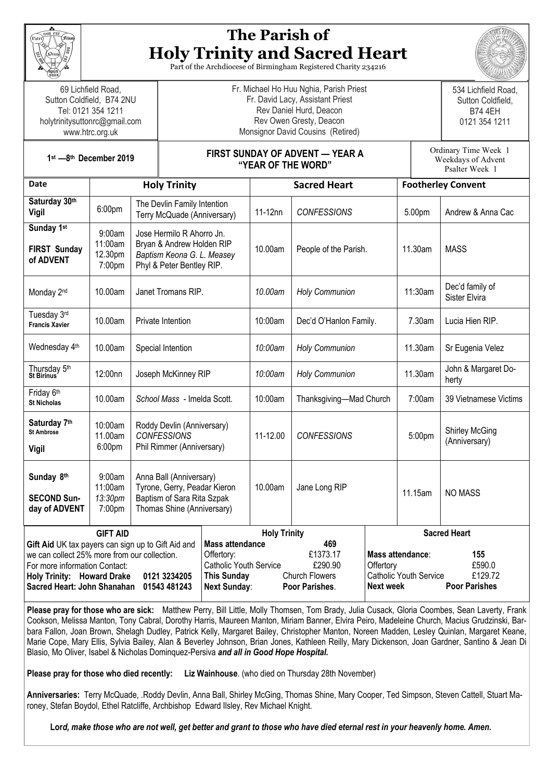

# **The Parish of Holy Trinity and Sacred Heart**

Part of the Archdiocese of Birmingham Registered Charity 234216

69 Lichfield Road, Sutton Coldfield, B74 2NU Tel: 0121 354 1211 holytrinitysuttonrc@gmail.com www.htrc.org.uk

Fr. Michael Ho Huu Nghia, Parish Priest Fr. David Lacy, Assistant Priest Rev Daniel Hurd, Deacon Rev Owen Gresty, Deacon Monsignor David Cousins (Retired)



0121 354 1211 Ordinary Time Week 1 Weekdays of Advent

**1st —8th December 2019**

#### **FIRST SUNDAY OF ADVENT — YEAR A "YEAR OF THE WORD"**

|                                                                                                                                                                                                                                                            |                                        |                                                                                                                     | "YEAR UF THE WURD" |                                                                                                                                                                                                      |                         |                                                                                                                                                        |                           | Psalter Week 1                         |  |
|------------------------------------------------------------------------------------------------------------------------------------------------------------------------------------------------------------------------------------------------------------|----------------------------------------|---------------------------------------------------------------------------------------------------------------------|--------------------|------------------------------------------------------------------------------------------------------------------------------------------------------------------------------------------------------|-------------------------|--------------------------------------------------------------------------------------------------------------------------------------------------------|---------------------------|----------------------------------------|--|
| <b>Date</b>                                                                                                                                                                                                                                                | <b>Holy Trinity</b>                    |                                                                                                                     |                    | <b>Sacred Heart</b>                                                                                                                                                                                  |                         |                                                                                                                                                        | <b>Footherley Convent</b> |                                        |  |
| Saturday 30th<br><b>Vigil</b>                                                                                                                                                                                                                              | 6:00pm                                 | The Devlin Family Intention<br>Terry McQuade (Anniversary)                                                          |                    | 11-12nn                                                                                                                                                                                              | <b>CONFESSIONS</b>      |                                                                                                                                                        | 5.00pm                    | Andrew & Anna Cac                      |  |
| Sunday 1st<br><b>FIRST Sunday</b><br>of ADVENT                                                                                                                                                                                                             | 9:00am<br>11:00am<br>12.30pm<br>7:00pm | Jose Hermilo R Ahorro Jn.<br>Bryan & Andrew Holden RIP<br>Baptism Keona G. L. Measey<br>Phyl & Peter Bentley RIP.   |                    | 10.00am                                                                                                                                                                                              | People of the Parish.   |                                                                                                                                                        | 11.30am                   | <b>MASS</b>                            |  |
| Monday 2 <sup>nd</sup>                                                                                                                                                                                                                                     | 10.00am                                | Janet Tromans RIP.                                                                                                  |                    | 10.00am                                                                                                                                                                                              | <b>Holy Communion</b>   |                                                                                                                                                        | 11:30am                   | Dec'd family of<br>Sister Elvira       |  |
| Tuesday 3rd<br><b>Francis Xavier</b>                                                                                                                                                                                                                       | 10.00am                                | Private Intention                                                                                                   |                    | 10:00am                                                                                                                                                                                              | Dec'd O'Hanlon Family.  |                                                                                                                                                        | 7.30am                    | Lucia Hien RIP.                        |  |
| Wednesday 4th                                                                                                                                                                                                                                              | 10.00am                                | Special Intention                                                                                                   |                    | 10:00am                                                                                                                                                                                              | <b>Holy Communion</b>   |                                                                                                                                                        | 11.30am                   | Sr Eugenia Velez                       |  |
| Thursday 5 <sup>th</sup><br>St Birinus                                                                                                                                                                                                                     | 12:00nn                                | Joseph McKinney RIP                                                                                                 |                    | 10:00am                                                                                                                                                                                              | <b>Holy Communion</b>   |                                                                                                                                                        | 11.30am                   | John & Margaret Do-<br>herty           |  |
| Friday 6th<br><b>St Nicholas</b>                                                                                                                                                                                                                           | 10.00am                                | School Mass - Imelda Scott.                                                                                         |                    | 10:00am                                                                                                                                                                                              | Thanksgiving-Mad Church |                                                                                                                                                        | 7:00am                    | 39 Vietnamese Victims                  |  |
| Saturday 7th<br><b>St Ambrose</b><br><b>Vigil</b>                                                                                                                                                                                                          | 10:00am<br>11.00am<br>6:00pm           | Roddy Devlin (Anniversary)<br><b>CONFESSIONS</b><br>Phil Rimmer (Anniversary)                                       |                    | 11-12.00                                                                                                                                                                                             | <b>CONFESSIONS</b>      |                                                                                                                                                        | 5:00pm                    | <b>Shirley McGing</b><br>(Anniversary) |  |
| Sunday 8th<br><b>SECOND Sun-</b><br>day of ADVENT                                                                                                                                                                                                          | 9:00am<br>11:00am<br>13:30pm<br>7:00pm | Anna Ball (Anniversary)<br>Tyrone, Gerry, Peadar Kieron<br>Baptism of Sara Rita Szpak<br>Thomas Shine (Anniversary) |                    | 10.00am                                                                                                                                                                                              | Jane Long RIP           |                                                                                                                                                        | 11.15am                   | <b>NO MASS</b>                         |  |
| <b>GIFT AID</b><br>Gift Aid UK tax payers can sign up to Gift Aid and<br>we can collect 25% more from our collection.<br>For more information Contact:<br><b>Holy Trinity: Howard Drake</b><br>0121 3234205<br>Sacred Heart: John Shanahan<br>01543 481243 |                                        |                                                                                                                     | Offertory:         | <b>Holy Trinity</b><br><b>Mass attendance</b><br>469<br>£1373.17<br>£290.90<br><b>Catholic Youth Service</b><br><b>This Sunday</b><br><b>Church Flowers</b><br><b>Next Sunday:</b><br>Poor Parishes. |                         | <b>Sacred Heart</b><br>Mass attendance:<br>155<br>£590.0<br>Offertory<br>£129.72<br><b>Catholic Youth Service</b><br><b>Poor Parishes</b><br>Next week |                           |                                        |  |

**Please pray for those who are sick:** Matthew Perry, Bill Little, Molly Thomsen, Tom Brady, Julia Cusack, Gloria Coombes, Sean Laverty, Frank Cookson, Melissa Manton, Tony Cabral, Dorothy Harris, Maureen Manton, Miriam Banner, Elvira Peiro, Madeleine Church, Macius Grudzinski, Barbara Fallon, Joan Brown, Shelagh Dudley, Patrick Kelly, Margaret Bailey, Christopher Manton, Noreen Madden, Lesley Quinlan, Margaret Keane, Marie Cope, Mary Ellis, Sylvia Bailey, Alan & Beverley Johnson, Brian Jones, Kathleen Reilly, Mary Dickenson, Joan Gardner, Santino & Jean Di Blasio, Mo Oliver, Isabel & Nicholas Dominquez-Persiva *and all in Good Hope Hospital.* 

**Please pray for those who died recently: Liz Wainhouse**. (who died on Thursday 28th November)

**Anniversaries:** Terry McQuade, .Roddy Devlin, Anna Ball, Shirley McGing, Thomas Shine, Mary Cooper, Ted Simpson, Steven Cattell, Stuart Maroney, Stefan Boydol, Ethel Ratcliffe, Archbishop Edward Ilsley, Rev Michael Knight.

 **Lor***d, make those who are not well, get better and grant to those who have died eternal rest in your heavenly home. Amen.*